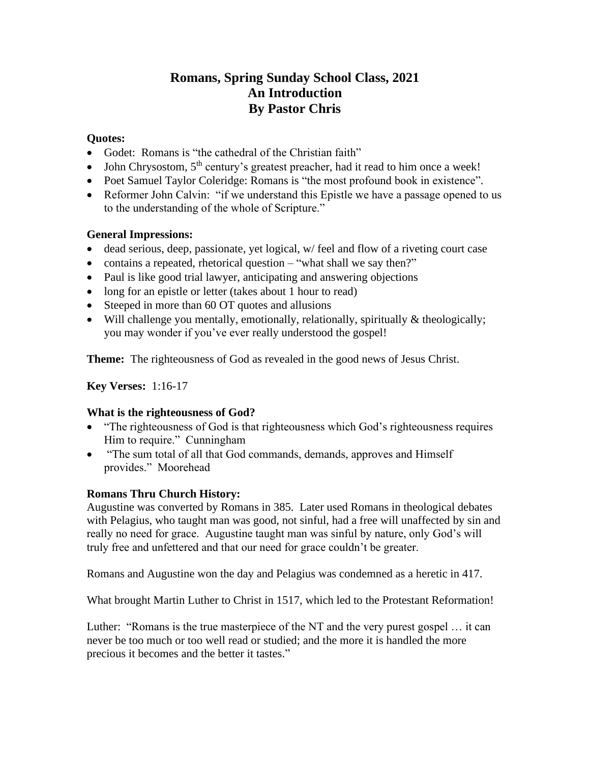# **Romans, Spring Sunday School Class, 2021 An Introduction By Pastor Chris**

### **Quotes:**

- Godet: Romans is "the cathedral of the Christian faith"
- John Chrysostom,  $5<sup>th</sup>$  century's greatest preacher, had it read to him once a week!
- Poet Samuel Taylor Coleridge: Romans is "the most profound book in existence".
- Reformer John Calvin: "if we understand this Epistle we have a passage opened to us to the understanding of the whole of Scripture."

# **General Impressions:**

- dead serious, deep, passionate, yet logical, w/feel and flow of a riveting court case
- contains a repeated, rhetorical question "what shall we say then?"
- Paul is like good trial lawyer, anticipating and answering objections
- long for an epistle or letter (takes about 1 hour to read)
- Steeped in more than 60 OT quotes and allusions
- Will challenge you mentally, emotionally, relationally, spiritually  $\&$  theologically; you may wonder if you've ever really understood the gospel!

**Theme:** The righteousness of God as revealed in the good news of Jesus Christ.

**Key Verses:** 1:16-17

#### **What is the righteousness of God?**

- "The righteousness of God is that righteousness which God's righteousness requires Him to require." Cunningham
- "The sum total of all that God commands, demands, approves and Himself provides." Moorehead

#### **Romans Thru Church History:**

Augustine was converted by Romans in 385. Later used Romans in theological debates with Pelagius, who taught man was good, not sinful, had a free will unaffected by sin and really no need for grace. Augustine taught man was sinful by nature, only God's will truly free and unfettered and that our need for grace couldn't be greater.

Romans and Augustine won the day and Pelagius was condemned as a heretic in 417.

What brought Martin Luther to Christ in 1517, which led to the Protestant Reformation!

Luther: "Romans is the true masterpiece of the NT and the very purest gospel … it can never be too much or too well read or studied; and the more it is handled the more precious it becomes and the better it tastes."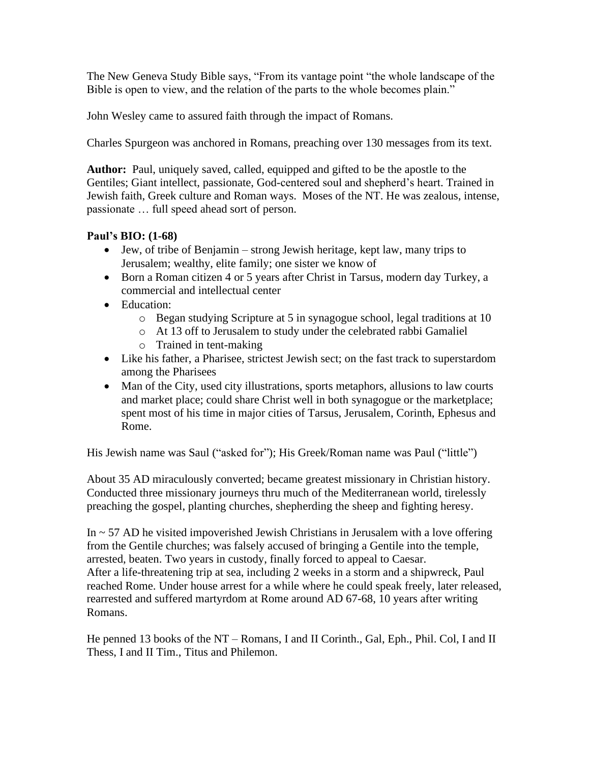The New Geneva Study Bible says, "From its vantage point "the whole landscape of the Bible is open to view, and the relation of the parts to the whole becomes plain."

John Wesley came to assured faith through the impact of Romans.

Charles Spurgeon was anchored in Romans, preaching over 130 messages from its text.

**Author:** Paul, uniquely saved, called, equipped and gifted to be the apostle to the Gentiles; Giant intellect, passionate, God-centered soul and shepherd's heart. Trained in Jewish faith, Greek culture and Roman ways. Moses of the NT. He was zealous, intense, passionate … full speed ahead sort of person.

# **Paul's BIO: (1-68)**

- Jew, of tribe of Benjamin strong Jewish heritage, kept law, many trips to Jerusalem; wealthy, elite family; one sister we know of
- Born a Roman citizen 4 or 5 years after Christ in Tarsus, modern day Turkey, a commercial and intellectual center
- Education:
	- o Began studying Scripture at 5 in synagogue school, legal traditions at 10
	- o At 13 off to Jerusalem to study under the celebrated rabbi Gamaliel
	- o Trained in tent-making
- Like his father, a Pharisee, strictest Jewish sect; on the fast track to superstardom among the Pharisees
- Man of the City, used city illustrations, sports metaphors, allusions to law courts and market place; could share Christ well in both synagogue or the marketplace; spent most of his time in major cities of Tarsus, Jerusalem, Corinth, Ephesus and Rome.

His Jewish name was Saul ("asked for"); His Greek/Roman name was Paul ("little")

About 35 AD miraculously converted; became greatest missionary in Christian history. Conducted three missionary journeys thru much of the Mediterranean world, tirelessly preaching the gospel, planting churches, shepherding the sheep and fighting heresy.

In  $\sim$  57 AD he visited impoverished Jewish Christians in Jerusalem with a love offering from the Gentile churches; was falsely accused of bringing a Gentile into the temple, arrested, beaten. Two years in custody, finally forced to appeal to Caesar. After a life-threatening trip at sea, including 2 weeks in a storm and a shipwreck, Paul reached Rome. Under house arrest for a while where he could speak freely, later released, rearrested and suffered martyrdom at Rome around AD 67-68, 10 years after writing Romans.

He penned 13 books of the NT – Romans, I and II Corinth., Gal, Eph., Phil. Col, I and II Thess, I and II Tim., Titus and Philemon.